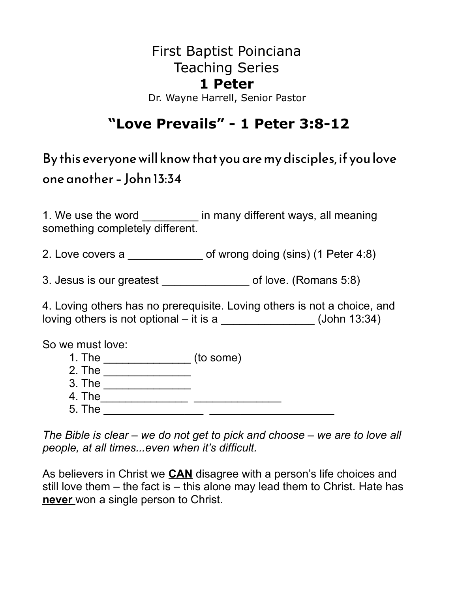### First Baptist Poinciana Teaching Series **1 Peter**

#### Dr. Wayne Harrell, Senior Pastor

## **"Love Prevails" - 1 Peter 3:8-12**

By this everyone will know that you are my disciples, if you love one another – John 13:34

1. We use the word \_\_\_\_\_\_\_\_\_ in many different ways, all meaning something completely different.

2. Love covers a \_\_\_\_\_\_\_\_\_\_\_\_\_\_ of wrong doing (sins) (1 Peter 4:8)

3. Jesus is our greatest **being the set of love.** (Romans 5:8)

4. Loving others has no prerequisite. Loving others is not a choice, and loving others is not optional – it is a  $\frac{1}{2}$   $\frac{1}{2}$   $\frac{1}{2}$   $\frac{1}{2}$   $\frac{1}{2}$   $\frac{1}{2}$   $\frac{1}{2}$   $\frac{1}{2}$   $\frac{1}{2}$   $\frac{1}{2}$   $\frac{1}{2}$   $\frac{1}{2}$   $\frac{1}{2}$   $\frac{1}{2}$   $\frac{1}{2}$   $\frac{1}{2}$   $\frac{1}{2}$   $\frac{1}{2}$ 

So we must love:

- 1. The \_\_\_\_\_\_\_\_\_\_\_\_\_\_\_\_\_\_ (to some)
- 2. The \_\_\_\_\_\_\_\_\_\_\_\_\_\_
- 3. The \_\_\_\_\_\_\_\_\_\_\_\_\_\_
- 4. The\_\_\_\_\_\_\_\_\_\_\_\_\_\_ \_\_\_\_\_\_\_\_\_\_\_\_\_\_
- 5. The \_\_\_\_\_\_\_\_\_\_\_\_\_\_\_\_ \_\_\_\_\_\_\_\_\_\_\_\_\_\_\_\_\_\_\_\_

*The Bible is clear – we do not get to pick and choose – we are to love all people, at all times...even when it's difficult.* 

As believers in Christ we **CAN** disagree with a person's life choices and still love them – the fact is – this alone may lead them to Christ. Hate has **never** won a single person to Christ.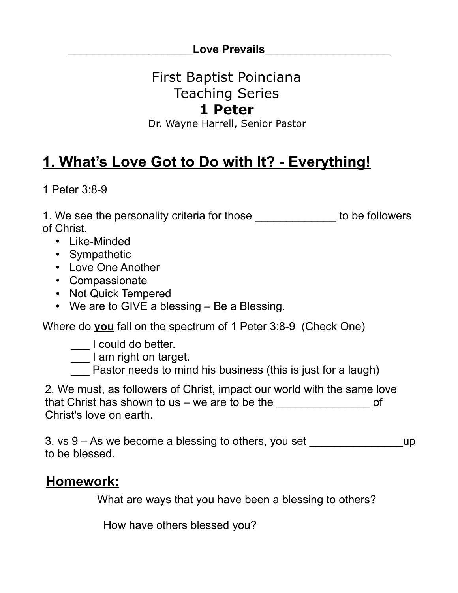\_\_\_\_\_\_\_\_\_\_\_\_\_\_\_\_\_\_\_\_**Love Prevails**\_\_\_\_\_\_\_\_\_\_\_\_\_\_\_\_\_\_\_\_

# First Baptist Poinciana Teaching Series

### **1 Peter**

Dr. Wayne Harrell, Senior Pastor

# **1. What's Love Got to Do with It? - Everything!**

1 Peter 3:8-9

1. We see the personality criteria for those \_\_\_\_\_\_\_\_\_\_\_\_\_ to be followers of Christ.

- Like-Minded
- Sympathetic
- Love One Another
- Compassionate
- Not Quick Tempered
- We are to GIVE a blessing Be a Blessing.

Where do **you** fall on the spectrum of 1 Peter 3:8-9 (Check One)

\_\_\_ I could do better.

\_\_\_ I am right on target.

 $\overline{\phantom{a}}$  Pastor needs to mind his business (this is just for a laugh)

2. We must, as followers of Christ, impact our world with the same love that Christ has shown to us – we are to be the Christ's love on earth.

3. vs  $9 - As$  we become a blessing to others, you set  $\qquad \qquad \text{up}$ to be blessed.

## **Homework:**

What are ways that you have been a blessing to others?

How have others blessed you?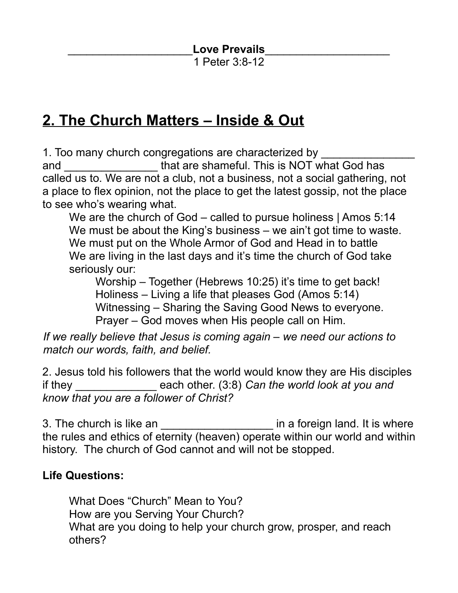Love Prevails

1 Peter 3:8-12

## **2. The Church Matters – Inside & Out**

1. Too many church congregations are characterized by

and \_\_\_\_\_\_\_\_\_\_\_\_\_\_\_ that are shameful. This is NOT what God has called us to. We are not a club, not a business, not a social gathering, not a place to flex opinion, not the place to get the latest gossip, not the place to see who's wearing what.

We are the church of God – called to pursue holiness | Amos 5:14 We must be about the King's business – we ain't got time to waste. We must put on the Whole Armor of God and Head in to battle We are living in the last days and it's time the church of God take seriously our:

Worship – Together (Hebrews 10:25) it's time to get back! Holiness – Living a life that pleases God (Amos 5:14) Witnessing – Sharing the Saving Good News to everyone. Prayer – God moves when His people call on Him.

*If we really believe that Jesus is coming again – we need our actions to match our words, faith, and belief.* 

2. Jesus told his followers that the world would know they are His disciples if they \_\_\_\_\_\_\_\_\_\_\_\_\_ each other. (3:8) *Can the world look at you and know that you are a follower of Christ?*

3. The church is like an **Exercise 2.** The church is like an **a** in a foreign land. It is where the rules and ethics of eternity (heaven) operate within our world and within history. The church of God cannot and will not be stopped.

#### **Life Questions:**

What Does "Church" Mean to You? How are you Serving Your Church? What are you doing to help your church grow, prosper, and reach others?